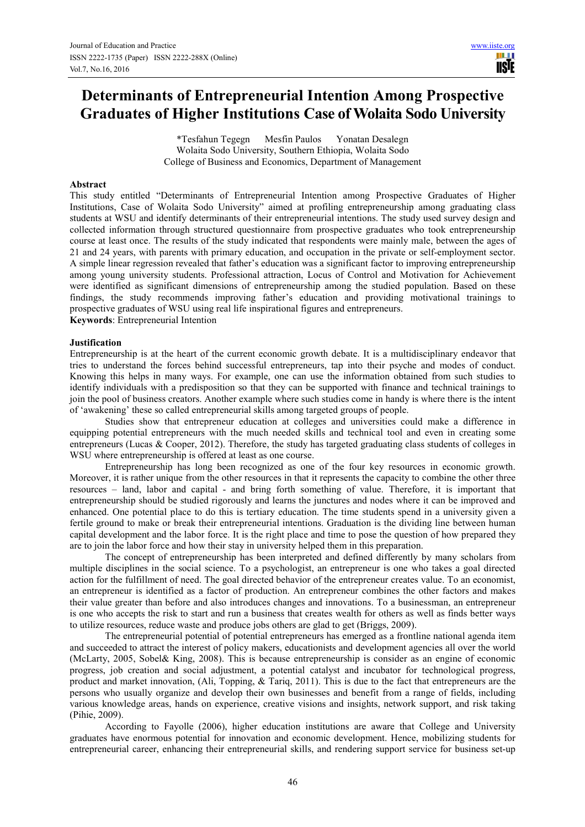# **Determinants of Entrepreneurial Intention Among Prospective Graduates of Higher Institutions Case of Wolaita Sodo University**

\*Tesfahun Tegegn Mesfin Paulos Yonatan Desalegn Wolaita Sodo University, Southern Ethiopia, Wolaita Sodo College of Business and Economics, Department of Management

### **Abstract**

This study entitled "Determinants of Entrepreneurial Intention among Prospective Graduates of Higher Institutions, Case of Wolaita Sodo University" aimed at profiling entrepreneurship among graduating class students at WSU and identify determinants of their entrepreneurial intentions. The study used survey design and collected information through structured questionnaire from prospective graduates who took entrepreneurship course at least once. The results of the study indicated that respondents were mainly male, between the ages of 21 and 24 years, with parents with primary education, and occupation in the private or self-employment sector. A simple linear regression revealed that father's education was a significant factor to improving entrepreneurship among young university students. Professional attraction, Locus of Control and Motivation for Achievement were identified as significant dimensions of entrepreneurship among the studied population. Based on these findings, the study recommends improving father's education and providing motivational trainings to prospective graduates of WSU using real life inspirational figures and entrepreneurs. **Keywords:** Entrepreneurial Intention

### **Justification**

Entrepreneurship is at the heart of the current economic growth debate. It is a multidisciplinary endeavor that tries to understand the forces behind successful entrepreneurs, tap into their psyche and modes of conduct. Knowing this helps in many ways. For example, one can use the information obtained from such studies to identify individuals with a predisposition so that they can be supported with finance and technical trainings to join the pool of business creators. Another example where such studies come in handy is where there is the intent of 'awakening' these so called entrepreneurial skills among targeted groups of people.

Studies show that entrepreneur education at colleges and universities could make a difference in equipping potential entrepreneurs with the much needed skills and technical tool and even in creating some entrepreneurs (Lucas & Cooper, 2012). Therefore, the study has targeted graduating class students of colleges in WSU where entrepreneurship is offered at least as one course.

Entrepreneurship has long been recognized as one of the four key resources in economic growth. Moreover, it is rather unique from the other resources in that it represents the capacity to combine the other three resources – land, labor and capital - and bring forth something of value. Therefore, it is important that entrepreneurship should be studied rigorously and learns the junctures and nodes where it can be improved and enhanced. One potential place to do this is tertiary education. The time students spend in a university given a fertile ground to make or break their entrepreneurial intentions. Graduation is the dividing line between human capital development and the labor force. It is the right place and time to pose the question of how prepared they are to join the labor force and how their stay in university helped them in this preparation.

The concept of entrepreneurship has been interpreted and defined differently by many scholars from multiple disciplines in the social science. To a psychologist, an entrepreneur is one who takes a goal directed action for the fulfillment of need. The goal directed behavior of the entrepreneur creates value. To an economist, an entrepreneur is identified as a factor of production. An entrepreneur combines the other factors and makes their value greater than before and also introduces changes and innovations. To a businessman, an entrepreneur is one who accepts the risk to start and run a business that creates wealth for others as well as finds better ways to utilize resources, reduce waste and produce jobs others are glad to get (Briggs, 2009).

The entrepreneurial potential of potential entrepreneurs has emerged as a frontline national agenda item and succeeded to attract the interest of policy makers, educationists and development agencies all over the world (McLarty, 2005, Sobel& King, 2008). This is because entrepreneurship is consider as an engine of economic progress, job creation and social adjustment, a potential catalyst and incubator for technological progress, product and market innovation, (Ali, Topping, & Tariq, 2011). This is due to the fact that entrepreneurs are the persons who usually organize and develop their own businesses and benefit from a range of fields, including various knowledge areas, hands on experience, creative visions and insights, network support, and risk taking (Pihie, 2009).

According to Fayolle (2006), higher education institutions are aware that College and University graduates have enormous potential for innovation and economic development. Hence, mobilizing students for entrepreneurial career, enhancing their entrepreneurial skills, and rendering support service for business set-up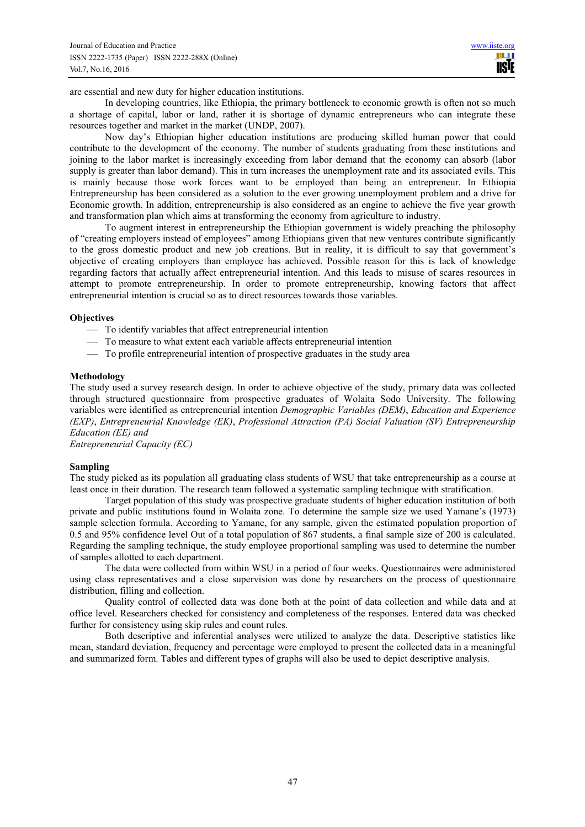are essential and new duty for higher education institutions.

In developing countries, like Ethiopia, the primary bottleneck to economic growth is often not so much a shortage of capital, labor or land, rather it is shortage of dynamic entrepreneurs who can integrate these resources together and market in the market (UNDP, 2007).

Now day's Ethiopian higher education institutions are producing skilled human power that could contribute to the development of the economy. The number of students graduating from these institutions and joining to the labor market is increasingly exceeding from labor demand that the economy can absorb (labor supply is greater than labor demand). This in turn increases the unemployment rate and its associated evils. This is mainly because those work forces want to be employed than being an entrepreneur. In Ethiopia Entrepreneurship has been considered as a solution to the ever growing unemployment problem and a drive for Economic growth. In addition, entrepreneurship is also considered as an engine to achieve the five year growth and transformation plan which aims at transforming the economy from agriculture to industry.

To augment interest in entrepreneurship the Ethiopian government is widely preaching the philosophy of "creating employers instead of employees" among Ethiopians given that new ventures contribute significantly to the gross domestic product and new job creations. But in reality, it is difficult to say that government's objective of creating employers than employee has achieved. Possible reason for this is lack of knowledge regarding factors that actually affect entrepreneurial intention. And this leads to misuse of scares resources in attempt to promote entrepreneurship. In order to promote entrepreneurship, knowing factors that affect entrepreneurial intention is crucial so as to direct resources towards those variables.

### **Objectives**

- To identify variables that affect entrepreneurial intention
- To measure to what extent each variable affects entrepreneurial intention
- To profile entrepreneurial intention of prospective graduates in the study area

#### **Methodology**

The study used a survey research design. In order to achieve objective of the study, primary data was collected through structured questionnaire from prospective graduates of Wolaita Sodo University. The following variables were identified as entrepreneurial intention *Demographic Variables (DEM)*, *Education and Experience (EXP)*, *Entrepreneurial Knowledge (EK)*, *Professional Attraction (PA) Social Valuation (SV) Entrepreneurship Education (EE) and*

*Entrepreneurial Capacity (EC)* 

## **Sampling**

The study picked as its population all graduating class students of WSU that take entrepreneurship as a course at least once in their duration. The research team followed a systematic sampling technique with stratification.

Target population of this study was prospective graduate students of higher education institution of both private and public institutions found in Wolaita zone. To determine the sample size we used Yamane's (1973) sample selection formula. According to Yamane, for any sample, given the estimated population proportion of 0.5 and 95% confidence level Out of a total population of 867 students, a final sample size of 200 is calculated. Regarding the sampling technique, the study employee proportional sampling was used to determine the number of samples allotted to each department.

The data were collected from within WSU in a period of four weeks. Questionnaires were administered using class representatives and a close supervision was done by researchers on the process of questionnaire distribution, filling and collection.

Quality control of collected data was done both at the point of data collection and while data and at office level. Researchers checked for consistency and completeness of the responses. Entered data was checked further for consistency using skip rules and count rules.

Both descriptive and inferential analyses were utilized to analyze the data. Descriptive statistics like mean, standard deviation, frequency and percentage were employed to present the collected data in a meaningful and summarized form. Tables and different types of graphs will also be used to depict descriptive analysis.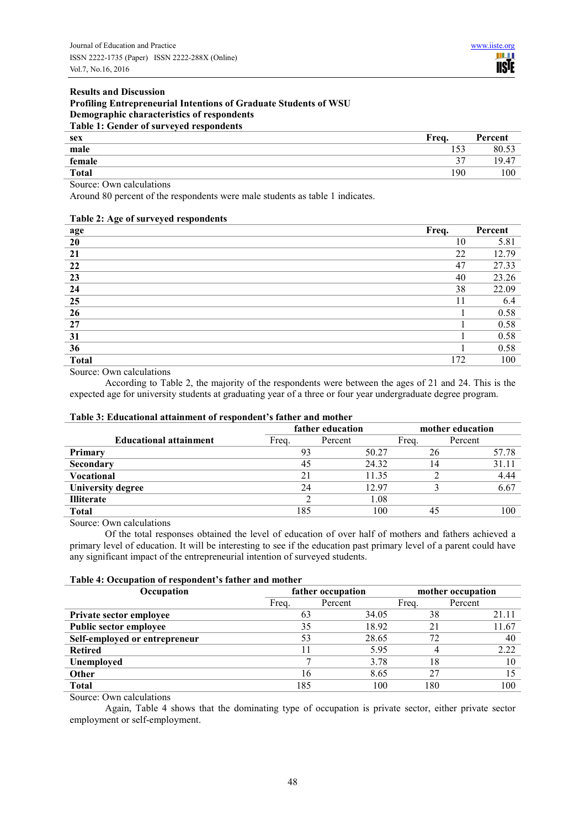### **Results and Discussion Profiling Entrepreneurial Intentions of Graduate Students of WSU Demographic characteristics of respondents Table 1: Gender of surveyed respondents**

| .                                           |               |         |
|---------------------------------------------|---------------|---------|
| sex                                         | Frea.         | Percent |
| male                                        | 153           | 80.53   |
| female                                      | $\gamma$<br>ັ | 19.47   |
| <b>Total</b>                                | 190           | 100     |
| and the contract of the con-<br>.<br>$\sim$ |               |         |

Source: Own calculations

Around 80 percent of the respondents were male students as table 1 indicates.

# **Table 2: Age of surveyed respondents age Freq.** Percent **Freq.** Percent **Freq.** Percent **20** 10 5.81 **21 22 12.79 22** 47 27.33 **23** 40 23.26 **24** 38 22.09 **25** 11 6.4 **26** 1 0.58 **27** 1 0.58 **31** 1 0.58 **36** 1 0.58 **Total** 172 100

Source: Own calculations

According to Table 2, the majority of the respondents were between the ages of 21 and 24. This is the expected age for university students at graduating year of a three or four year undergraduate degree program.

# **Table 3: Educational attainment of respondent's father and mother**

|                               | father education |         | mother education |         |
|-------------------------------|------------------|---------|------------------|---------|
| <b>Educational attainment</b> | Freq.            | Percent | Freq.            | Percent |
| <b>Primary</b>                | 93               | 50.27   | 26               | 57.78   |
| Secondary                     | 45               | 24.32   | 14               | 31.11   |
| <b>Vocational</b>             | 21               | 11.35   |                  | 4.44    |
| <b>University degree</b>      | 24               | 12.97   |                  | 6.67    |
| <b>Illiterate</b>             |                  | 1.08    |                  |         |
| <b>Total</b>                  | 185              | 100     | 45               | 100     |

Source: Own calculations

Of the total responses obtained the level of education of over half of mothers and fathers achieved a primary level of education. It will be interesting to see if the education past primary level of a parent could have any significant impact of the entrepreneurial intention of surveyed students.

### **Table 4: Occupation of respondent's father and mother**

| Occupation                    | father occupation<br>mother occupation |         |       |         |
|-------------------------------|----------------------------------------|---------|-------|---------|
|                               | Freq.                                  | Percent | Freq. | Percent |
| Private sector employee       |                                        | 34.05   | 38    | 21.11   |
| <b>Public sector employee</b> | 35                                     | 18.92   | 21    | 11.67   |
| Self-employed or entrepreneur | 53                                     | 28.65   | 72    | 40      |
| <b>Retired</b>                |                                        | 5.95    |       | 2.22    |
| Unemployed                    |                                        | 3.78    | 18    |         |
| Other                         | 16                                     | 8.65    | 27    |         |
| <b>Total</b>                  | 185                                    | 100     | 180   | 100     |

Source: Own calculations

Again, Table 4 shows that the dominating type of occupation is private sector, either private sector employment or self-employment.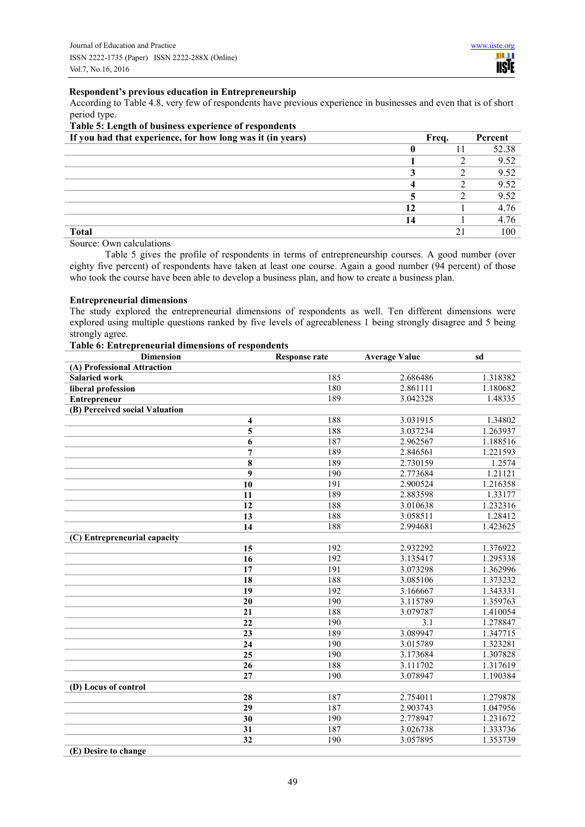### **Respondent's previous education in Entrepreneurship**

According to Table 4.8, very few of respondents have previous experience in businesses and even that is of short period type. **Table 5: Length of business experience of respondents** 

| THOSE OF DESIGNATOR WORKEDS SHOWERS OF LESS STREETING<br>If you had that experience, for how long was it (in years) |    | Freq. | Percent |
|---------------------------------------------------------------------------------------------------------------------|----|-------|---------|
|                                                                                                                     |    |       | 52.38   |
|                                                                                                                     |    |       | 9.52    |
|                                                                                                                     |    |       | 9.52    |
|                                                                                                                     |    |       | 9.52    |
|                                                                                                                     |    |       | 9.52    |
|                                                                                                                     |    |       | 4.76    |
|                                                                                                                     | 14 |       | 4.76    |
| <b>Total</b>                                                                                                        |    |       | 100     |

# Source: Own calculations

Table 5 gives the profile of respondents in terms of entrepreneurship courses. A good number (over eighty five percent) of respondents have taken at least one course. Again a good number (94 percent) of those who took the course have been able to develop a business plan, and how to create a business plan.

### **Entrepreneurial dimensions**

The study explored the entrepreneurial dimensions of respondents as well. Ten different dimensions were explored using multiple questions ranked by five levels of agreeableness 1 being strongly disagree and 5 being strongly agree. **Table 6: Entrepreneurial dimensions of respondents** 

| <b>Dimension</b>               | <b>Response rate</b> | <b>Average Value</b> | sd       |
|--------------------------------|----------------------|----------------------|----------|
| (A) Professional Attraction    |                      |                      |          |
| <b>Salaried work</b>           | 185                  | 2.686486             | 1.318382 |
| liberal profession             | 180                  | 2.861111             | 1.180682 |
| Entrepreneur                   | 189                  | 3.042328             | 1.48335  |
| (B) Perceived social Valuation |                      |                      |          |
| 4                              | 188                  | 3.031915             | 1.34802  |
| 5                              | 188                  | 3.037234             | 1.263937 |
| 6                              | 187                  | 2.962567             | 1.188516 |
| $\overline{7}$                 | 189                  | 2.846561             | 1.221593 |
| 8                              | 189                  | 2.730159             | 1.2574   |
| 9                              | 190                  | 2.773684             | 1.21121  |
| $\overline{10}$                | 191                  | 2.900524             | 1.216358 |
| 11                             | 189                  | 2.883598             | 1.33177  |
| 12                             | 188                  | 3.010638             | 1.232316 |
| $\overline{13}$                | 188                  | 3.058511             | 1.28412  |
| 14                             | 188                  | 2.994681             | 1.423625 |
| (C) Entrepreneurial capacity   |                      |                      |          |
| 15                             | 192                  | 2.932292             | 1.376922 |
| 16                             | 192                  | 3.135417             | 1.295338 |
| 17                             | 191                  | 3.073298             | 1.362996 |
| 18                             | 188                  | 3.085106             | 1.373232 |
| 19                             | 192                  | 3.166667             | 1.343331 |
| 20                             | 190                  | 3.115789             | 1.359763 |
| 21                             | 188                  | 3.079787             | 1.410054 |
| 22                             | 190                  | 3.1                  | 1.278847 |
| 23                             | 189                  | 3.089947             | 1.347715 |
| 24                             | 190                  | 3.015789             | 1.323281 |
| 25                             | 190                  | 3.173684             | 1.307828 |
| 26                             | 188                  | 3.111702             | 1.317619 |
| 27                             | 190                  | 3.078947             | 1.190384 |
| (D) Locus of control           |                      |                      |          |
| 28                             | 187                  | 2.754011             | 1.279878 |
| 29                             | 187                  | 2.903743             | 1.047956 |
| 30                             | 190                  | 2.778947             | 1.231672 |
| 31                             | 187                  | 3.026738             | 1.333736 |
| 32                             | 190                  | 3.057895             | 1.353739 |
| (E) Desire to change           |                      |                      |          |

49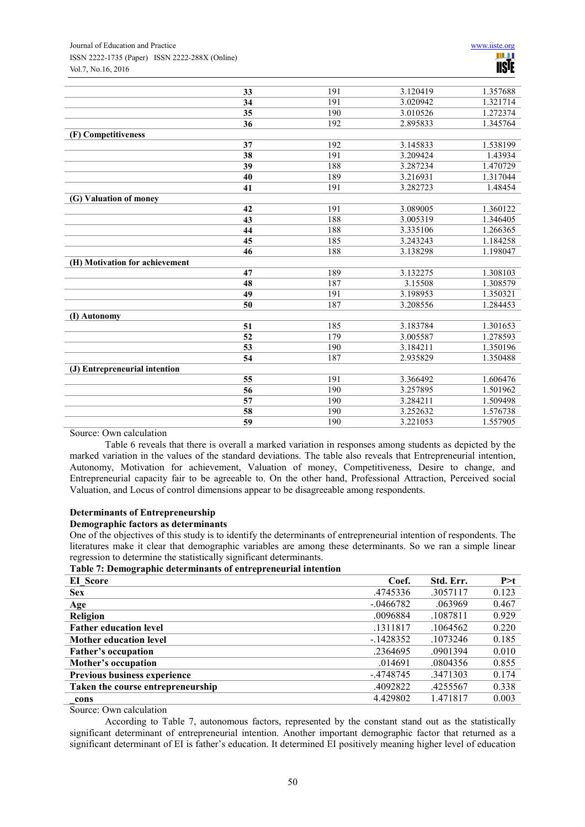### Journal of Education and Practice www.iiste.org ISSN 2222-1735 (Paper) ISSN 2222-288X (Online) Vol.7, No.16, 2016

|                                | 33 | 191 | 3.120419 | 1.357688 |
|--------------------------------|----|-----|----------|----------|
|                                | 34 | 191 | 3.020942 | 1.321714 |
|                                | 35 | 190 | 3.010526 | 1.272374 |
|                                | 36 | 192 | 2.895833 | 1.345764 |
| (F) Competitiveness            |    |     |          |          |
|                                | 37 | 192 | 3.145833 | 1.538199 |
|                                | 38 | 191 | 3.209424 | 1.43934  |
|                                | 39 | 188 | 3.287234 | 1.470729 |
|                                | 40 | 189 | 3.216931 | 1.317044 |
|                                | 41 | 191 | 3.282723 | 1.48454  |
| (G) Valuation of money         |    |     |          |          |
|                                | 42 | 191 | 3.089005 | 1.360122 |
|                                | 43 | 188 | 3.005319 | 1.346405 |
|                                | 44 | 188 | 3.335106 | 1.266365 |
|                                | 45 | 185 | 3.243243 | 1.184258 |
|                                | 46 | 188 | 3.138298 | 1.198047 |
| (H) Motivation for achievement |    |     |          |          |
|                                | 47 | 189 | 3.132275 | 1.308103 |
|                                | 48 | 187 | 3.15508  | 1.308579 |
|                                | 49 | 191 | 3.198953 | 1.350321 |
|                                | 50 | 187 | 3.208556 | 1.284453 |
| (I) Autonomy                   |    |     |          |          |
|                                | 51 | 185 | 3.183784 | 1.301653 |
|                                | 52 | 179 | 3.005587 | 1.278593 |
|                                | 53 | 190 | 3.184211 | 1.350196 |
|                                | 54 | 187 | 2.935829 | 1.350488 |
| (J) Entrepreneurial intention  |    |     |          |          |
|                                | 55 | 191 | 3.366492 | 1.606476 |
|                                | 56 | 190 | 3.257895 | 1.501962 |
|                                | 57 | 190 | 3.284211 | 1.509498 |
|                                | 58 | 190 | 3.252632 | 1.576738 |
|                                | 59 | 190 | 3.221053 | 1.557905 |

Source: Own calculation

Table 6 reveals that there is overall a marked variation in responses among students as depicted by the marked variation in the values of the standard deviations. The table also reveals that Entrepreneurial intention, Autonomy, Motivation for achievement, Valuation of money, Competitiveness, Desire to change, and Entrepreneurial capacity fair to be agreeable to. On the other hand, Professional Attraction, Perceived social Valuation, and Locus of control dimensions appear to be disagreeable among respondents.

### **Determinants of Entrepreneurship**

### **Demographic factors as determinants**

One of the objectives of this study is to identify the determinants of entrepreneurial intention of respondents. The literatures make it clear that demographic variables are among these determinants. So we ran a simple linear regression to determine the statistically significant determinants.

**Table 7: Demographic determinants of entrepreneurial intention**

| EI Score                          | Coef.       | Std. Err. | P > t |
|-----------------------------------|-------------|-----------|-------|
| <b>Sex</b>                        | .4745336    | .3057117  | 0.123 |
| Age                               | $-.0466782$ | .063969   | 0.467 |
| Religion                          | .0096884    | .1087811  | 0.929 |
| <b>Father education level</b>     | .1311817    | .1064562  | 0.220 |
| <b>Mother education level</b>     | $-1428352$  | .1073246  | 0.185 |
| <b>Father's occupation</b>        | .2364695    | .0901394  | 0.010 |
| Mother's occupation               | .014691     | .0804356  | 0.855 |
| Previous business experience      | $-4748745$  | .3471303  | 0.174 |
| Taken the course entrepreneurship | .4092822    | .4255567  | 0.338 |
| cons                              | 4.429802    | 1.471817  | 0.003 |

Source: Own calculation

According to Table 7, autonomous factors, represented by the constant stand out as the statistically significant determinant of entrepreneurial intention. Another important demographic factor that returned as a significant determinant of EI is father's education. It determined EI positively meaning higher level of education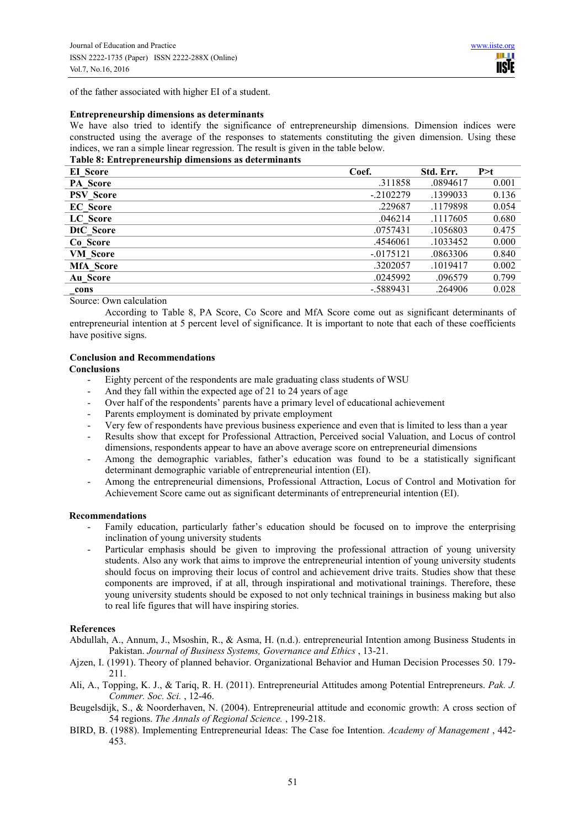of the father associated with higher EI of a student.

### **Entrepreneurship dimensions as determinants**

We have also tried to identify the significance of entrepreneurship dimensions. Dimension indices were constructed using the average of the responses to statements constituting the given dimension. Using these indices, we ran a simple linear regression. The result is given in the table below.

### **Table 8: Entrepreneurship dimensions as determinants**

| EI Score         | Coef.       | Std. Err. | P > t |
|------------------|-------------|-----------|-------|
| <b>PA</b> Score  | .311858     | .0894617  | 0.001 |
| <b>PSV</b> Score | $-2102279$  | .1399033  | 0.136 |
| <b>EC</b> Score  | .229687     | .1179898  | 0.054 |
| LC Score         | .046214     | .1117605  | 0.680 |
| DtC Score        | .0757431    | .1056803  | 0.475 |
| Co Score         | .4546061    | .1033452  | 0.000 |
| <b>VM</b> Score  | $-.0175121$ | .0863306  | 0.840 |
| <b>MfA</b> Score | .3202057    | .1019417  | 0.002 |
| Au Score         | .0245992    | .096579   | 0.799 |
| cons             | $-.5889431$ | .264906   | 0.028 |

Source: Own calculation

According to Table 8, PA Score, Co Score and MfA Score come out as significant determinants of entrepreneurial intention at 5 percent level of significance. It is important to note that each of these coefficients have positive signs.

### **Conclusion and Recommendations**

**Conclusions** 

- Eighty percent of the respondents are male graduating class students of WSU
- And they fall within the expected age of 21 to 24 years of age
- Over half of the respondents' parents have a primary level of educational achievement
- Parents employment is dominated by private employment
- Very few of respondents have previous business experience and even that is limited to less than a year
- Results show that except for Professional Attraction, Perceived social Valuation, and Locus of control dimensions, respondents appear to have an above average score on entrepreneurial dimensions
- Among the demographic variables, father's education was found to be a statistically significant determinant demographic variable of entrepreneurial intention (EI).
- Among the entrepreneurial dimensions, Professional Attraction, Locus of Control and Motivation for Achievement Score came out as significant determinants of entrepreneurial intention (EI).

### **Recommendations**

- Family education, particularly father's education should be focused on to improve the enterprising inclination of young university students
- Particular emphasis should be given to improving the professional attraction of young university students. Also any work that aims to improve the entrepreneurial intention of young university students should focus on improving their locus of control and achievement drive traits. Studies show that these components are improved, if at all, through inspirational and motivational trainings. Therefore, these young university students should be exposed to not only technical trainings in business making but also to real life figures that will have inspiring stories.

### **References**

- Abdullah, A., Annum, J., Msoshin, R., & Asma, H. (n.d.). entrepreneurial Intention among Business Students in Pakistan. *Journal of Business Systems, Governance and Ethics* , 13-21.
- Ajzen, I. (1991). Theory of planned behavior. Organizational Behavior and Human Decision Processes 50. 179- 211.
- Ali, A., Topping, K. J., & Tariq, R. H. (2011). Entrepreneurial Attitudes among Potential Entrepreneurs. *Pak. J. Commer. Soc. Sci.* , 12-46.
- Beugelsdijk, S., & Noorderhaven, N. (2004). Entrepreneurial attitude and economic growth: A cross section of 54 regions. *The Annals of Regional Science.* , 199-218.
- BIRD, B. (1988). Implementing Entrepreneurial Ideas: The Case foe Intention. *Academy of Management* , 442- 453.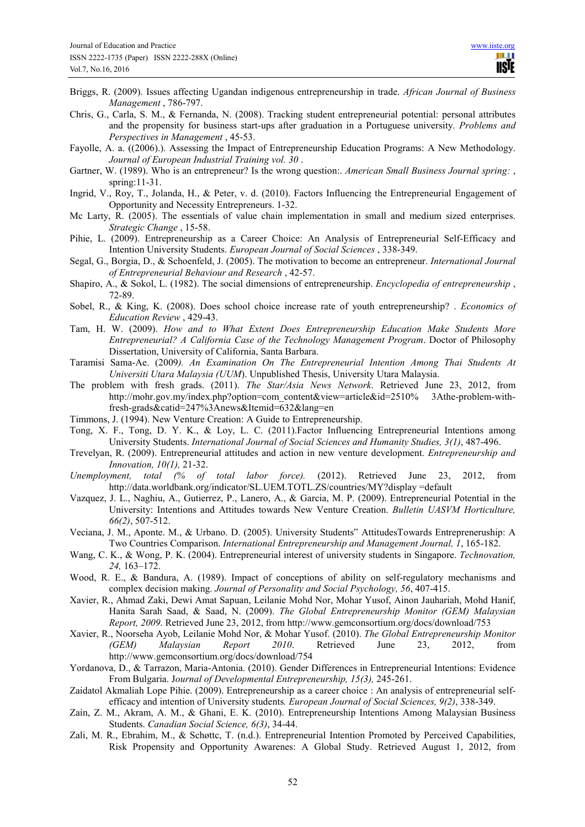- Briggs, R. (2009). Issues affecting Ugandan indigenous entrepreneurship in trade. *African Journal of Business Management* , 786-797.
- Chris, G., Carla, S. M., & Fernanda, N. (2008). Tracking student entrepreneurial potential: personal attributes and the propensity for business start-ups after graduation in a Portuguese university. *Problems and Perspectives in Management* , 45-53.
- Fayolle, A. a. ((2006).). Assessing the Impact of Entrepreneurship Education Programs: A New Methodology. *Journal of European Industrial Training vol. 30* .
- Gartner, W. (1989). Who is an entrepreneur? Is the wrong question:. *American Small Business Journal spring:* , spring:11-31.
- Ingrid, V., Roy, T., Jolanda, H., & Peter, v. d. (2010). Factors Influencing the Entrepreneurial Engagement of Opportunity and Necessity Entrepreneurs. 1-32.
- Mc Larty, R. (2005). The essentials of value chain implementation in small and medium sized enterprises. *Strategic Change* , 15-58.
- Pihie, L. (2009). Entrepreneurship as a Career Choice: An Analysis of Entrepreneurial Self-Efficacy and Intention University Students. *European Journal of Social Sciences* , 338-349.
- Segal, G., Borgia, D., & Schoenfeld, J. (2005). The motivation to become an entrepreneur. *International Journal of Entrepreneurial Behaviour and Research* , 42-57.
- Shapiro, A., & Sokol, L. (1982). The social dimensions of entrepreneurship. *Encyclopedia of entrepreneurship* , 72-89.
- Sobel, R., & King, K. (2008). Does school choice increase rate of youth entrepreneurship? . *Economics of Education Review* , 429-43.
- Tam, H. W. (2009). *How and to What Extent Does Entrepreneurship Education Make Students More Entrepreneurial? A California Case of the Technology Management Program*. Doctor of Philosophy Dissertation, University of California, Santa Barbara.
- Taramisi Sama-Ae. (2009*). An Examination On The Entrepreneurial Intention Among Thai Students At Universiti Utara Malaysia (UUM*). Unpublished Thesis, University Utara Malaysia.
- The problem with fresh grads. (2011). *The Star/Asia News Network*. Retrieved June 23, 2012, from http://mohr.gov.my/index.php?option=com\_content&view=article&id=2510% 3Athe-problem-withfresh-grads&catid=247%3Anews&Itemid=632&lang=en
- Timmons, J. (1994). New Venture Creation: A Guide to Entrepreneurship.
- Tong, X. F., Tong, D. Y. K., & Loy, L. C. (2011).Factor Influencing Entrepreneurial Intentions among University Students. *International Journal of Social Sciences and Humanity Studies, 3(1)*, 487-496.
- Trevelyan, R. (2009). Entrepreneurial attitudes and action in new venture development. *Entrepreneurship and Innovation, 10(1),* 21-32.
- *Unemployment, total (% of total labor force).* (2012). Retrieved June 23, 2012, from http://data.worldbank.org/indicator/SL.UEM.TOTL.ZS/countries/MY?display =default
- Vazquez, J. L., Naghiu, A., Gutierrez, P., Lanero, A., & Garcia, M. P. (2009). Entrepreneurial Potential in the University: Intentions and Attitudes towards New Venture Creation. *Bulletin UASVM Horticulture, 66(2)*, 507-512.
- Veciana, J. M., Aponte. M., & Urbano. D. (2005). University Students" AttitudesTowards Entrepreneruship: A Two Countries Comparison. *International Entrepreneurship and Management Journal, 1*, 165-182.
- Wang, C. K., & Wong, P. K. (2004). Entrepreneurial interest of university students in Singapore. *Technovation, 24,* 163–172.
- Wood, R. E., & Bandura, A. (1989). Impact of conceptions of ability on self-regulatory mechanisms and complex decision making. *Journal of Personality and Social Psychology, 56*, 407-415.
- Xavier, R., Ahmad Zaki, Dewi Amat Sapuan, Leilanie Mohd Nor, Mohar Yusof, Ainon Jauhariah, Mohd Hanif, Hanita Sarah Saad, & Saad, N. (2009). *The Global Entrepreneurship Monitor (GEM) Malaysian Report, 2009*. Retrieved June 23, 2012, from http://www.gemconsortium.org/docs/download/753
- Xavier, R., Noorseha Ayob, Leilanie Mohd Nor, & Mohar Yusof. (2010). *The Global Entrepreneurship Monitor (GEM) Malaysian Report 2010*. Retrieved June 23, 2012, from http://www.gemconsortium.org/docs/download/754
- Yordanova, D., & Tarrazon, Maria-Antonia. (2010). Gender Differences in Entrepreneurial Intentions: Evidence From Bulgaria. J*ournal of Developmental Entrepreneurship, 15(3),* 245-261.
- Zaidatol Akmaliah Lope Pihie. (2009). Entrepreneurship as a career choice : An analysis of entrepreneurial selfefficacy and intention of University students*. European Journal of Social Sciences, 9(2)*, 338-349.
- Zain, Z. M., Akram, A. M., & Ghani, E. K. (2010). Entrepreneurship Intentions Among Malaysian Business Students. *Canadian Social Science, 6(3)*, 34-44.
- Zali, M. R., Ebrahim, M., & Schøttc, T. (n.d.). Entrepreneurial Intention Promoted by Perceived Capabilities, Risk Propensity and Opportunity Awarenes: A Global Study. Retrieved August 1, 2012, from